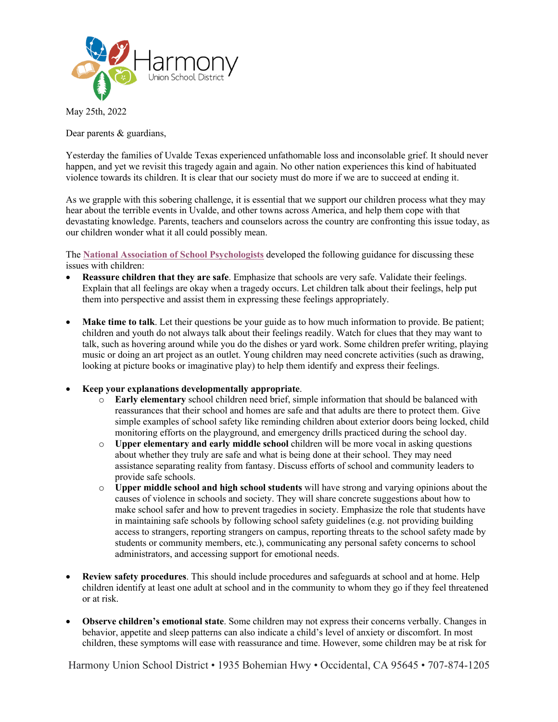

May 25th, 2022

Dear parents & guardians,

Yesterday the families of Uvalde Texas experienced unfathomable loss and inconsolable grief. It should never happen, and yet we revisit this tragedy again and again. No other nation experiences this kind of habituated violence towards its children. It is clear that our society must do more if we are to succeed at ending it.

As we grapple with this sobering challenge, it is essential that we support our children process what they may hear about the terrible events in Uvalde, and other towns across America, and help them cope with that devastating knowledge. Parents, teachers and counselors across the country are confronting this issue today, as our children wonder what it all could possibly mean.

The **National Association of School Psychologists** developed the following guidance for discussing these issues with children:

- **Reassure children that they are safe**. Emphasize that schools are very safe. Validate their feelings. Explain that all feelings are okay when a tragedy occurs. Let children talk about their feelings, help put them into perspective and assist them in expressing these feelings appropriately.
- **Make time to talk**. Let their questions be your guide as to how much information to provide. Be patient; children and youth do not always talk about their feelings readily. Watch for clues that they may want to talk, such as hovering around while you do the dishes or yard work. Some children prefer writing, playing music or doing an art project as an outlet. Young children may need concrete activities (such as drawing, looking at picture books or imaginative play) to help them identify and express their feelings.
- **Keep your explanations developmentally appropriate**.
	- o **Early elementary** school children need brief, simple information that should be balanced with reassurances that their school and homes are safe and that adults are there to protect them. Give simple examples of school safety like reminding children about exterior doors being locked, child monitoring efforts on the playground, and emergency drills practiced during the school day.
	- o **Upper elementary and early middle school** children will be more vocal in asking questions about whether they truly are safe and what is being done at their school. They may need assistance separating reality from fantasy. Discuss efforts of school and community leaders to provide safe schools.
	- o **Upper middle school and high school students** will have strong and varying opinions about the causes of violence in schools and society. They will share concrete suggestions about how to make school safer and how to prevent tragedies in society. Emphasize the role that students have in maintaining safe schools by following school safety guidelines (e.g. not providing building access to strangers, reporting strangers on campus, reporting threats to the school safety made by students or community members, etc.), communicating any personal safety concerns to school administrators, and accessing support for emotional needs.
- **Review safety procedures**. This should include procedures and safeguards at school and at home. Help children identify at least one adult at school and in the community to whom they go if they feel threatened or at risk.
- **Observe children's emotional state**. Some children may not express their concerns verbally. Changes in behavior, appetite and sleep patterns can also indicate a child's level of anxiety or discomfort. In most children, these symptoms will ease with reassurance and time. However, some children may be at risk for

Harmony Union School District • 1935 Bohemian Hwy • Occidental, CA 95645 • 707-874-1205